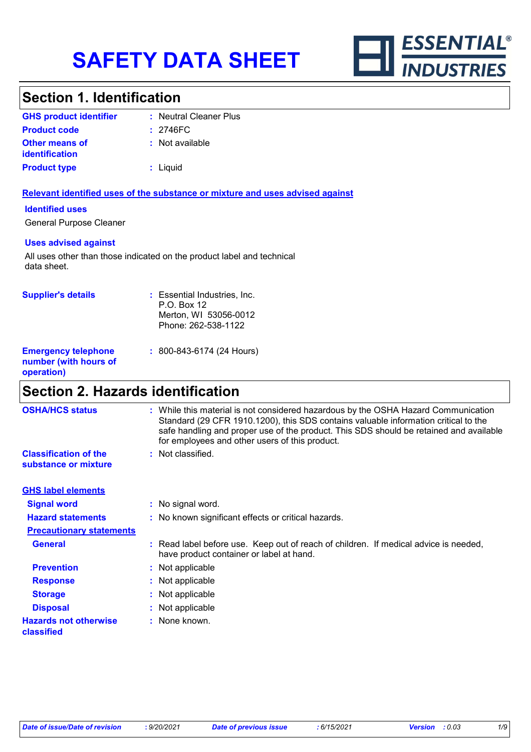

# **Section 1. Identification**

| <b>GHS product identifier</b>                  | : Neutral Cleaner Plus |
|------------------------------------------------|------------------------|
| <b>Product code</b>                            | $: 2746 \text{FC}$     |
| <b>Other means of</b><br><i>identification</i> | : Not available        |
| <b>Product type</b>                            | : Liquid               |

### **Relevant identified uses of the substance or mixture and uses advised against**

### **Identified uses**

General Purpose Cleaner

### **Uses advised against**

All uses other than those indicated on the product label and technical data sheet.

| <b>Supplier's details</b>                                         | : Essential Industries, Inc.<br>P.O. Box 12<br>Merton, WI 53056-0012<br>Phone: 262-538-1122 |
|-------------------------------------------------------------------|---------------------------------------------------------------------------------------------|
| <b>Emergency telephone</b><br>number (with hours of<br>operation) | $: 800 - 843 - 6174$ (24 Hours)                                                             |

# **Section 2. Hazards identification**

| <b>OSHA/HCS status</b>                               | : While this material is not considered hazardous by the OSHA Hazard Communication<br>Standard (29 CFR 1910.1200), this SDS contains valuable information critical to the<br>safe handling and proper use of the product. This SDS should be retained and available<br>for employees and other users of this product. |
|------------------------------------------------------|-----------------------------------------------------------------------------------------------------------------------------------------------------------------------------------------------------------------------------------------------------------------------------------------------------------------------|
| <b>Classification of the</b><br>substance or mixture | : Not classified.                                                                                                                                                                                                                                                                                                     |
| <b>GHS label elements</b>                            |                                                                                                                                                                                                                                                                                                                       |
| <b>Signal word</b>                                   | : No signal word.                                                                                                                                                                                                                                                                                                     |
| <b>Hazard statements</b>                             | : No known significant effects or critical hazards.                                                                                                                                                                                                                                                                   |
| <b>Precautionary statements</b>                      |                                                                                                                                                                                                                                                                                                                       |
| <b>General</b>                                       | : Read label before use. Keep out of reach of children. If medical advice is needed,<br>have product container or label at hand.                                                                                                                                                                                      |
| <b>Prevention</b>                                    | : Not applicable                                                                                                                                                                                                                                                                                                      |
| <b>Response</b>                                      | : Not applicable                                                                                                                                                                                                                                                                                                      |
| <b>Storage</b>                                       | : Not applicable                                                                                                                                                                                                                                                                                                      |
| <b>Disposal</b>                                      | : Not applicable                                                                                                                                                                                                                                                                                                      |
| <b>Hazards not otherwise</b><br>classified           | : None known.                                                                                                                                                                                                                                                                                                         |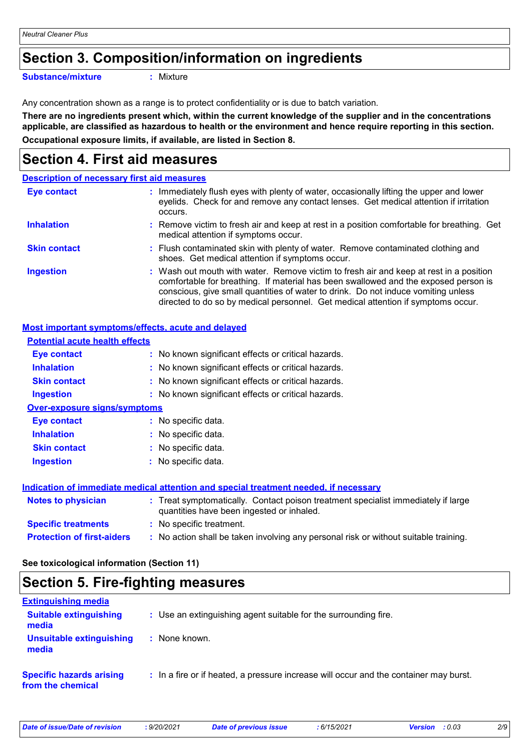# **Section 3. Composition/information on ingredients**

**Substance/mixture :**

: Mixture

Any concentration shown as a range is to protect confidentiality or is due to batch variation.

**There are no ingredients present which, within the current knowledge of the supplier and in the concentrations applicable, are classified as hazardous to health or the environment and hence require reporting in this section. Occupational exposure limits, if available, are listed in Section 8.**

# **Section 4. First aid measures**

|                     | <b>Description of necessary first aid measures</b>                                                                                                                                                                                                                                                                                                     |
|---------------------|--------------------------------------------------------------------------------------------------------------------------------------------------------------------------------------------------------------------------------------------------------------------------------------------------------------------------------------------------------|
| <b>Eye contact</b>  | : Immediately flush eyes with plenty of water, occasionally lifting the upper and lower<br>eyelids. Check for and remove any contact lenses. Get medical attention if irritation<br>occurs.                                                                                                                                                            |
| <b>Inhalation</b>   | : Remove victim to fresh air and keep at rest in a position comfortable for breathing. Get<br>medical attention if symptoms occur.                                                                                                                                                                                                                     |
| <b>Skin contact</b> | : Flush contaminated skin with plenty of water. Remove contaminated clothing and<br>shoes. Get medical attention if symptoms occur.                                                                                                                                                                                                                    |
| <b>Ingestion</b>    | : Wash out mouth with water. Remove victim to fresh air and keep at rest in a position<br>comfortable for breathing. If material has been swallowed and the exposed person is<br>conscious, give small quantities of water to drink. Do not induce vomiting unless<br>directed to do so by medical personnel. Get medical attention if symptoms occur. |

### **Most important symptoms/effects, acute and delayed**

| <b>Potential acute health effects</b>                                                |                                                                                                                                |  |
|--------------------------------------------------------------------------------------|--------------------------------------------------------------------------------------------------------------------------------|--|
| Eye contact                                                                          | : No known significant effects or critical hazards.                                                                            |  |
| <b>Inhalation</b>                                                                    | : No known significant effects or critical hazards.                                                                            |  |
| <b>Skin contact</b>                                                                  | : No known significant effects or critical hazards.                                                                            |  |
| <b>Ingestion</b>                                                                     | : No known significant effects or critical hazards.                                                                            |  |
| <b>Over-exposure signs/symptoms</b>                                                  |                                                                                                                                |  |
| <b>Eye contact</b>                                                                   | : No specific data.                                                                                                            |  |
| <b>Inhalation</b>                                                                    | : No specific data.                                                                                                            |  |
| <b>Skin contact</b>                                                                  | : No specific data.                                                                                                            |  |
| <b>Ingestion</b>                                                                     | : No specific data.                                                                                                            |  |
| Indication of immediate medical attention and special treatment needed, if necessary |                                                                                                                                |  |
| <b>Notes to physician</b>                                                            | : Treat symptomatically. Contact poison treatment specialist immediately if large<br>quantities have been ingested or inhaled. |  |
| <b>Specific treatments</b>                                                           | : No specific treatment.                                                                                                       |  |
| <b>Protection of first-aiders</b>                                                    | : No action shall be taken involving any personal risk or without suitable training.                                           |  |

**See toxicological information (Section 11)**

# **Section 5. Fire-fighting measures**

| <b>Extinguishing media</b>                           |                                                                                       |
|------------------------------------------------------|---------------------------------------------------------------------------------------|
| <b>Suitable extinguishing</b><br>media               | : Use an extinguishing agent suitable for the surrounding fire.                       |
| Unsuitable extinguishing<br>media                    | None known.                                                                           |
| <b>Specific hazards arising</b><br>from the chemical | : In a fire or if heated, a pressure increase will occur and the container may burst. |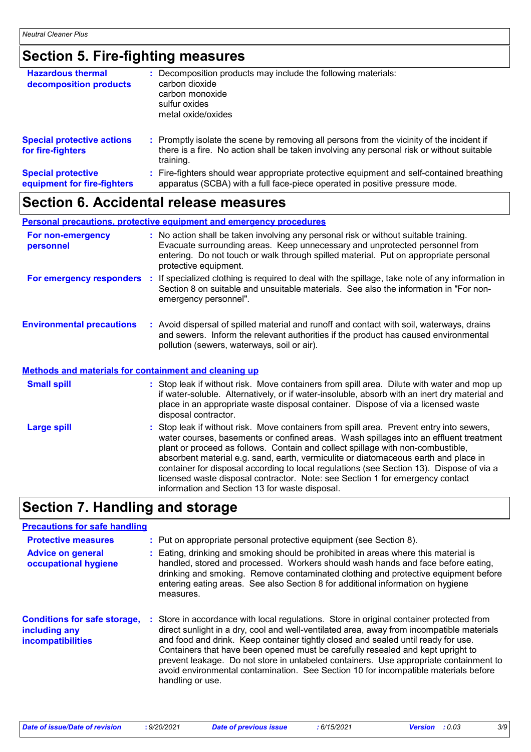# **Section 5. Fire-fighting measures**

| <b>Hazardous thermal</b><br>decomposition products       | Decomposition products may include the following materials:<br>carbon dioxide<br>carbon monoxide<br>sulfur oxides<br>metal oxide/oxides                                                             |
|----------------------------------------------------------|-----------------------------------------------------------------------------------------------------------------------------------------------------------------------------------------------------|
| <b>Special protective actions</b><br>for fire-fighters   | : Promptly isolate the scene by removing all persons from the vicinity of the incident if<br>there is a fire. No action shall be taken involving any personal risk or without suitable<br>training. |
| <b>Special protective</b><br>equipment for fire-fighters | : Fire-fighters should wear appropriate protective equipment and self-contained breathing<br>apparatus (SCBA) with a full face-piece operated in positive pressure mode.                            |

# **Section 6. Accidental release measures**

|                                                              | <b>Personal precautions, protective equipment and emergency procedures</b>                                                                                                                                                                                                                                                                                                                                                                                                                                                                                                                 |
|--------------------------------------------------------------|--------------------------------------------------------------------------------------------------------------------------------------------------------------------------------------------------------------------------------------------------------------------------------------------------------------------------------------------------------------------------------------------------------------------------------------------------------------------------------------------------------------------------------------------------------------------------------------------|
| For non-emergency<br>personnel                               | : No action shall be taken involving any personal risk or without suitable training.<br>Evacuate surrounding areas. Keep unnecessary and unprotected personnel from<br>entering. Do not touch or walk through spilled material. Put on appropriate personal<br>protective equipment.                                                                                                                                                                                                                                                                                                       |
|                                                              | For emergency responders : If specialized clothing is required to deal with the spillage, take note of any information in<br>Section 8 on suitable and unsuitable materials. See also the information in "For non-<br>emergency personnel".                                                                                                                                                                                                                                                                                                                                                |
| <b>Environmental precautions</b>                             | : Avoid dispersal of spilled material and runoff and contact with soil, waterways, drains<br>and sewers. Inform the relevant authorities if the product has caused environmental<br>pollution (sewers, waterways, soil or air).                                                                                                                                                                                                                                                                                                                                                            |
| <b>Methods and materials for containment and cleaning up</b> |                                                                                                                                                                                                                                                                                                                                                                                                                                                                                                                                                                                            |
| <b>Small spill</b>                                           | : Stop leak if without risk. Move containers from spill area. Dilute with water and mop up<br>if water-soluble. Alternatively, or if water-insoluble, absorb with an inert dry material and<br>place in an appropriate waste disposal container. Dispose of via a licensed waste<br>disposal contractor.                                                                                                                                                                                                                                                                                   |
| <b>Large spill</b>                                           | : Stop leak if without risk. Move containers from spill area. Prevent entry into sewers,<br>water courses, basements or confined areas. Wash spillages into an effluent treatment<br>plant or proceed as follows. Contain and collect spillage with non-combustible,<br>absorbent material e.g. sand, earth, vermiculite or diatomaceous earth and place in<br>container for disposal according to local regulations (see Section 13). Dispose of via a<br>licensed waste disposal contractor. Note: see Section 1 for emergency contact<br>information and Section 13 for waste disposal. |

# **Section 7. Handling and storage**

### **Precautions for safe handling**

| <b>Protective measures</b><br><b>Advice on general</b><br>occupational hygiene   | : Put on appropriate personal protective equipment (see Section 8).<br>: Eating, drinking and smoking should be prohibited in areas where this material is<br>handled, stored and processed. Workers should wash hands and face before eating,<br>drinking and smoking. Remove contaminated clothing and protective equipment before<br>entering eating areas. See also Section 8 for additional information on hygiene<br>measures.                                                                                                                              |
|----------------------------------------------------------------------------------|-------------------------------------------------------------------------------------------------------------------------------------------------------------------------------------------------------------------------------------------------------------------------------------------------------------------------------------------------------------------------------------------------------------------------------------------------------------------------------------------------------------------------------------------------------------------|
| <b>Conditions for safe storage,</b><br>including any<br><b>incompatibilities</b> | : Store in accordance with local regulations. Store in original container protected from<br>direct sunlight in a dry, cool and well-ventilated area, away from incompatible materials<br>and food and drink. Keep container tightly closed and sealed until ready for use.<br>Containers that have been opened must be carefully resealed and kept upright to<br>prevent leakage. Do not store in unlabeled containers. Use appropriate containment to<br>avoid environmental contamination. See Section 10 for incompatible materials before<br>handling or use. |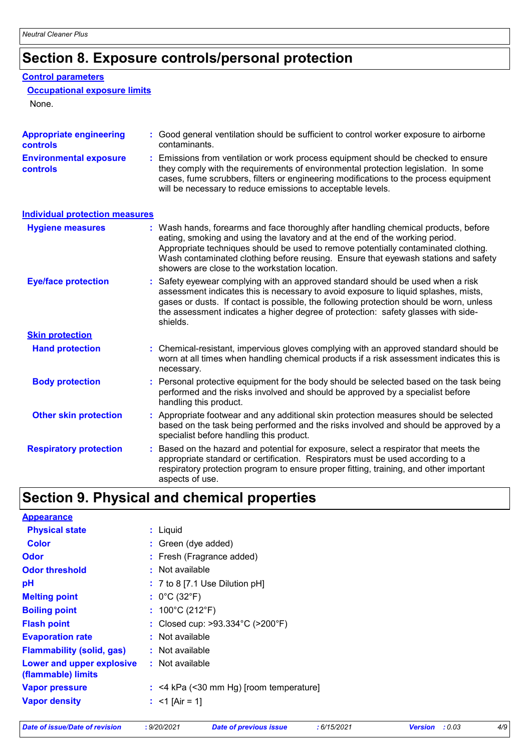# **Section 8. Exposure controls/personal protection**

### **Control parameters**

### **Occupational exposure limits**

None.

| <b>Appropriate engineering</b><br><b>controls</b> | : Good general ventilation should be sufficient to control worker exposure to airborne<br>contaminants.                                                                                                                                                                                                                                                                                           |
|---------------------------------------------------|---------------------------------------------------------------------------------------------------------------------------------------------------------------------------------------------------------------------------------------------------------------------------------------------------------------------------------------------------------------------------------------------------|
| <b>Environmental exposure</b><br><b>controls</b>  | Emissions from ventilation or work process equipment should be checked to ensure<br>they comply with the requirements of environmental protection legislation. In some<br>cases, fume scrubbers, filters or engineering modifications to the process equipment<br>will be necessary to reduce emissions to acceptable levels.                                                                     |
| <b>Individual protection measures</b>             |                                                                                                                                                                                                                                                                                                                                                                                                   |
| <b>Hygiene measures</b>                           | : Wash hands, forearms and face thoroughly after handling chemical products, before<br>eating, smoking and using the lavatory and at the end of the working period.<br>Appropriate techniques should be used to remove potentially contaminated clothing.<br>Wash contaminated clothing before reusing. Ensure that eyewash stations and safety<br>showers are close to the workstation location. |
| <b>Eye/face protection</b>                        | : Safety eyewear complying with an approved standard should be used when a risk<br>assessment indicates this is necessary to avoid exposure to liquid splashes, mists,<br>gases or dusts. If contact is possible, the following protection should be worn, unless<br>the assessment indicates a higher degree of protection: safety glasses with side-<br>shields.                                |
| <b>Skin protection</b>                            |                                                                                                                                                                                                                                                                                                                                                                                                   |
| <b>Hand protection</b>                            | : Chemical-resistant, impervious gloves complying with an approved standard should be<br>worn at all times when handling chemical products if a risk assessment indicates this is<br>necessary.                                                                                                                                                                                                   |
| <b>Body protection</b>                            | : Personal protective equipment for the body should be selected based on the task being<br>performed and the risks involved and should be approved by a specialist before<br>handling this product.                                                                                                                                                                                               |
| <b>Other skin protection</b>                      | : Appropriate footwear and any additional skin protection measures should be selected<br>based on the task being performed and the risks involved and should be approved by a<br>specialist before handling this product.                                                                                                                                                                         |
| <b>Respiratory protection</b>                     | : Based on the hazard and potential for exposure, select a respirator that meets the<br>appropriate standard or certification. Respirators must be used according to a<br>respiratory protection program to ensure proper fitting, training, and other important<br>aspects of use.                                                                                                               |

# **Section 9. Physical and chemical properties**

| <b>Appearance</b>                               |                                           |
|-------------------------------------------------|-------------------------------------------|
| <b>Physical state</b>                           | : Liguid                                  |
| <b>Color</b>                                    | : Green (dye added)                       |
| <b>Odor</b>                                     | : Fresh (Fragrance added)                 |
| <b>Odor threshold</b>                           | : Not available                           |
| pH                                              | : 7 to 8 [7.1 Use Dilution pH]            |
| <b>Melting point</b>                            | : $0^{\circ}$ C (32 $^{\circ}$ F)         |
| <b>Boiling point</b>                            | : $100^{\circ}$ C (212 $^{\circ}$ F)      |
| <b>Flash point</b>                              | : Closed cup: >93.334°C (>200°F)          |
| <b>Evaporation rate</b>                         | : Not available                           |
| <b>Flammability (solid, gas)</b>                | : Not available                           |
| Lower and upper explosive<br>(flammable) limits | : Not available                           |
| <b>Vapor pressure</b>                           | $:$ <4 kPa (<30 mm Hg) [room temperature] |
| <b>Vapor density</b>                            | : $<$ 1 [Air = 1]                         |
|                                                 |                                           |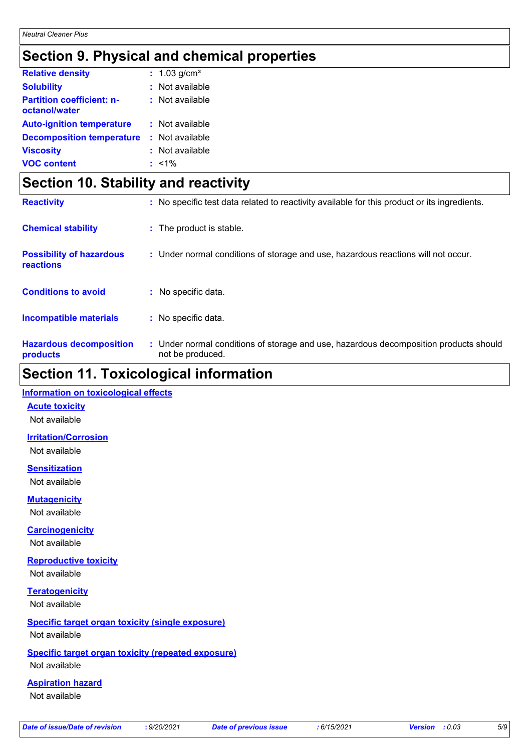# **Section 9. Physical and chemical properties**

| <b>Relative density</b>                           | : $1.03$ g/cm <sup>3</sup> |
|---------------------------------------------------|----------------------------|
| <b>Solubility</b>                                 | $:$ Not available          |
| <b>Partition coefficient: n-</b><br>octanol/water | $:$ Not available          |
| <b>Auto-ignition temperature</b>                  | : Not available            |
| <b>Decomposition temperature</b>                  | : Not available            |
| <b>Viscosity</b>                                  | : Not available            |
| <b>VOC content</b>                                | $: 1\%$                    |

# **Section 10. Stability and reactivity**

| <b>Reactivity</b>                            | : No specific test data related to reactivity available for this product or its ingredients.              |
|----------------------------------------------|-----------------------------------------------------------------------------------------------------------|
| <b>Chemical stability</b>                    | : The product is stable.                                                                                  |
| <b>Possibility of hazardous</b><br>reactions | : Under normal conditions of storage and use, hazardous reactions will not occur.                         |
| <b>Conditions to avoid</b>                   | : No specific data.                                                                                       |
| <b>Incompatible materials</b>                | : No specific data.                                                                                       |
| <b>Hazardous decomposition</b><br>products   | : Under normal conditions of storage and use, hazardous decomposition products should<br>not be produced. |

### **Section 11. Toxicological information**

### **Information on toxicological effects**

**Acute toxicity**

Not available

**Irritation/Corrosion**

Not available

**Sensitization** Not available

**Mutagenicity**

Not available

**Carcinogenicity**

Not available

**Reproductive toxicity** Not available

**Teratogenicity** Not available

### **Specific target organ toxicity (single exposure)** Not available

### **Specific target organ toxicity (repeated exposure)**

Not available

### **Aspiration hazard**

Not available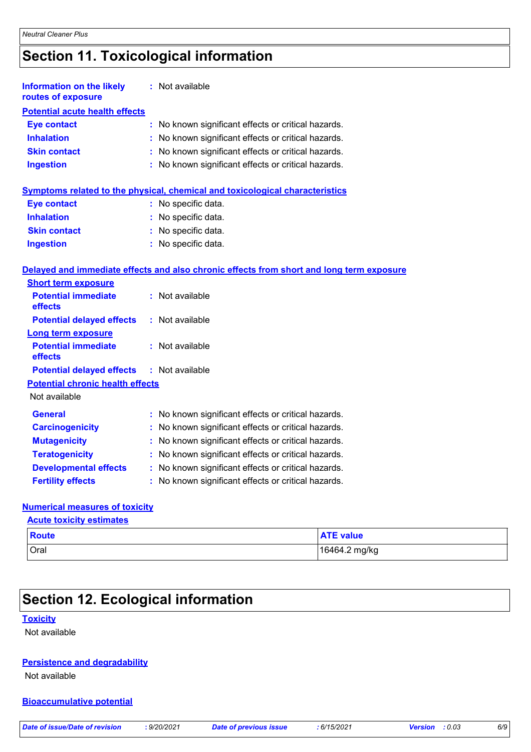# **Section 11. Toxicological information**

| <b>Information on the likely</b><br>routes of exposure | : Not available                                                                          |
|--------------------------------------------------------|------------------------------------------------------------------------------------------|
| <b>Potential acute health effects</b>                  |                                                                                          |
| <b>Eye contact</b>                                     | No known significant effects or critical hazards.<br>t.                                  |
| <b>Inhalation</b>                                      | : No known significant effects or critical hazards.                                      |
| <b>Skin contact</b>                                    | : No known significant effects or critical hazards.                                      |
| <b>Ingestion</b>                                       | No known significant effects or critical hazards.                                        |
|                                                        | <b>Symptoms related to the physical, chemical and toxicological characteristics</b>      |
| <b>Eye contact</b>                                     | : No specific data.                                                                      |
| <b>Inhalation</b>                                      | : No specific data.                                                                      |
| <b>Skin contact</b>                                    | : No specific data.                                                                      |
| <b>Ingestion</b>                                       | : No specific data.                                                                      |
|                                                        | Delayed and immediate effects and also chronic effects from short and long term exposure |
| <b>Short term exposure</b>                             |                                                                                          |
| <b>Potential immediate</b><br>effects                  | : Not available                                                                          |
| <b>Potential delayed effects</b>                       | : Not available                                                                          |
| <b>Long term exposure</b>                              |                                                                                          |
| <b>Potential immediate</b><br>effects                  | : Not available                                                                          |
| <b>Potential delayed effects</b>                       | : Not available                                                                          |
| <b>Potential chronic health effects</b>                |                                                                                          |
| Not available                                          |                                                                                          |
| General                                                | : No known significant effects or critical hazards.                                      |
| <b>Carcinogenicity</b>                                 | No known significant effects or critical hazards.<br>÷.                                  |
| <b>Mutagenicity</b>                                    | No known significant effects or critical hazards.                                        |
| <b>Teratogenicity</b>                                  | No known significant effects or critical hazards.                                        |
| <b>Developmental effects</b>                           | : No known significant effects or critical hazards.                                      |
| <b>Fertility effects</b>                               | : No known significant effects or critical hazards.                                      |

### **Numerical measures of toxicity**

**Acute toxicity estimates**

| <b>Route</b> | <b>ATE value</b> |
|--------------|------------------|
| Oral         | 16464.2 mg/kg    |

# **Section 12. Ecological information**

### **Toxicity**

Not available

### **Persistence and degradability**

Not available

### **Bioaccumulative potential**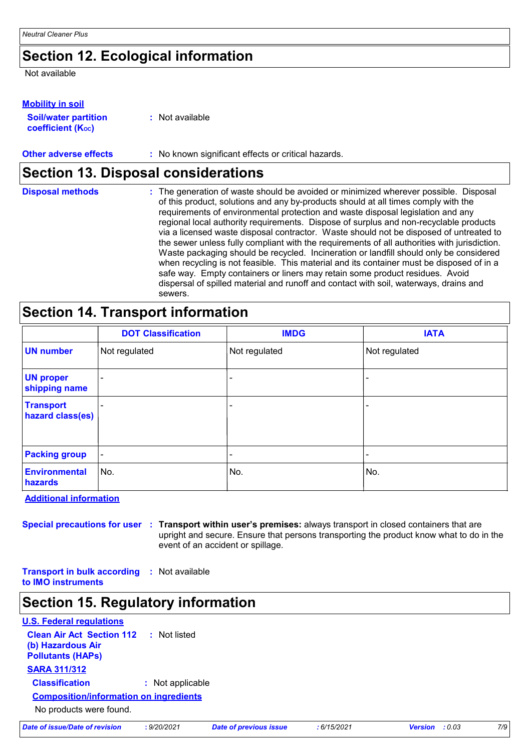# **Section 12. Ecological information**

Not available

### **Mobility in soil**

| <b>Soil/water partition</b>    | : Not available |
|--------------------------------|-----------------|
| coefficient (K <sub>oc</sub> ) |                 |

**Other adverse effects** : No known significant effects or critical hazards.

### **Section 13. Disposal considerations**

| <b>Disposal methods</b> | : The generation of waste should be avoided or minimized wherever possible. Disposal<br>of this product, solutions and any by-products should at all times comply with the<br>requirements of environmental protection and waste disposal legislation and any<br>regional local authority requirements. Dispose of surplus and non-recyclable products<br>via a licensed waste disposal contractor. Waste should not be disposed of untreated to<br>the sewer unless fully compliant with the requirements of all authorities with jurisdiction.<br>Waste packaging should be recycled. Incineration or landfill should only be considered<br>when recycling is not feasible. This material and its container must be disposed of in a<br>safe way. Empty containers or liners may retain some product residues. Avoid<br>dispersal of spilled material and runoff and contact with soil, waterways, drains and |
|-------------------------|-----------------------------------------------------------------------------------------------------------------------------------------------------------------------------------------------------------------------------------------------------------------------------------------------------------------------------------------------------------------------------------------------------------------------------------------------------------------------------------------------------------------------------------------------------------------------------------------------------------------------------------------------------------------------------------------------------------------------------------------------------------------------------------------------------------------------------------------------------------------------------------------------------------------|
|                         | sewers.                                                                                                                                                                                                                                                                                                                                                                                                                                                                                                                                                                                                                                                                                                                                                                                                                                                                                                         |

# **Section 14. Transport information**

|                                      | <b>DOT Classification</b> | <b>IMDG</b>              | <b>IATA</b>   |
|--------------------------------------|---------------------------|--------------------------|---------------|
| <b>UN number</b>                     | Not regulated             | Not regulated            | Not regulated |
| <b>UN proper</b><br>shipping name    |                           | $\overline{\phantom{0}}$ |               |
| <b>Transport</b><br>hazard class(es) |                           |                          |               |
| <b>Packing group</b>                 | $\blacksquare$            | ۰                        |               |
| Environmental<br>hazards             | ∣No.                      | No.                      | No.           |

**Additional information**

**Special precautions for user Transport within user's premises:** always transport in closed containers that are **:** upright and secure. Ensure that persons transporting the product know what to do in the event of an accident or spillage.

**Transport in bulk according :** Not available **to IMO instruments**

### **Section 15. Regulatory information**

| <b>U.S. Federal regulations</b>                                                   |                  |  |  |  |
|-----------------------------------------------------------------------------------|------------------|--|--|--|
| <b>Clean Air Act Section 112</b><br>(b) Hazardous Air<br><b>Pollutants (HAPs)</b> | : Not listed     |  |  |  |
| <b>SARA 311/312</b>                                                               |                  |  |  |  |
| <b>Classification</b>                                                             | : Not applicable |  |  |  |
| <b>Composition/information on ingredients</b>                                     |                  |  |  |  |
| No products were found.                                                           |                  |  |  |  |

|  | Date of issue/Date of revision |  |  |
|--|--------------------------------|--|--|
|  |                                |  |  |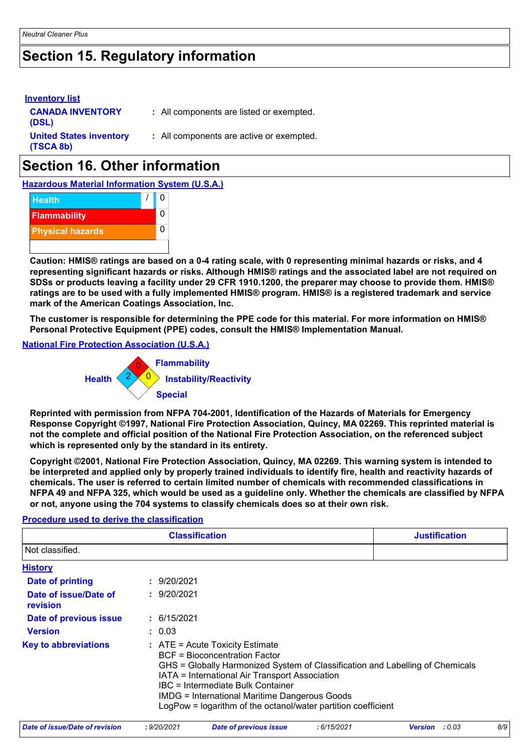# **Section 15. Regulatory information**

| <b>Inventory list</b><br><b>CANADA INVENTORY</b><br>(DSL) | : All components are listed or exempted. |
|-----------------------------------------------------------|------------------------------------------|
| <b>United States inventory</b><br>(TSCA 8b)               | : All components are active or exempted. |

# **Section 16. Other information**

**Hazardous Material Information System (U.S.A.)**



**Caution: HMIS® ratings are based on a 0-4 rating scale, with 0 representing minimal hazards or risks, and 4 representing significant hazards or risks. Although HMIS® ratings and the associated label are not required on SDSs or products leaving a facility under 29 CFR 1910.1200, the preparer may choose to provide them. HMIS® ratings are to be used with a fully implemented HMIS® program. HMIS® is a registered trademark and service mark of the American Coatings Association, Inc.**

**The customer is responsible for determining the PPE code for this material. For more information on HMIS® Personal Protective Equipment (PPE) codes, consult the HMIS® Implementation Manual.**

**National Fire Protection Association (U.S.A.)**



**Reprinted with permission from NFPA 704-2001, Identification of the Hazards of Materials for Emergency Response Copyright ©1997, National Fire Protection Association, Quincy, MA 02269. This reprinted material is not the complete and official position of the National Fire Protection Association, on the referenced subject which is represented only by the standard in its entirety.**

**Copyright ©2001, National Fire Protection Association, Quincy, MA 02269. This warning system is intended to be interpreted and applied only by properly trained individuals to identify fire, health and reactivity hazards of chemicals. The user is referred to certain limited number of chemicals with recommended classifications in NFPA 49 and NFPA 325, which would be used as a guideline only. Whether the chemicals are classified by NFPA or not, anyone using the 704 systems to classify chemicals does so at their own risk.**

### **Procedure used to derive the classification**

|                                   | <b>Classification</b>                                                                                                                                                                                                                                                                                                                                                               | <b>Justification</b> |
|-----------------------------------|-------------------------------------------------------------------------------------------------------------------------------------------------------------------------------------------------------------------------------------------------------------------------------------------------------------------------------------------------------------------------------------|----------------------|
| Not classified.                   |                                                                                                                                                                                                                                                                                                                                                                                     |                      |
| <b>History</b>                    |                                                                                                                                                                                                                                                                                                                                                                                     |                      |
| Date of printing                  | : 9/20/2021                                                                                                                                                                                                                                                                                                                                                                         |                      |
| Date of issue/Date of<br>revision | : 9/20/2021                                                                                                                                                                                                                                                                                                                                                                         |                      |
| Date of previous issue            | : 6/15/2021                                                                                                                                                                                                                                                                                                                                                                         |                      |
| <b>Version</b>                    | : 0.03                                                                                                                                                                                                                                                                                                                                                                              |                      |
| <b>Key to abbreviations</b>       | $\therefore$ ATE = Acute Toxicity Estimate<br><b>BCF</b> = Bioconcentration Factor<br>GHS = Globally Harmonized System of Classification and Labelling of Chemicals<br>IATA = International Air Transport Association<br>IBC = Intermediate Bulk Container<br><b>IMDG = International Maritime Dangerous Goods</b><br>LogPow = logarithm of the octanol/water partition coefficient |                      |

| Date of issue/Date of revision | 9/20/2021 | <b>Date of previous issue</b> | : 6/15/2021 | <b>Version</b> : 0.03 | 8/9 |
|--------------------------------|-----------|-------------------------------|-------------|-----------------------|-----|
|                                |           |                               |             |                       |     |